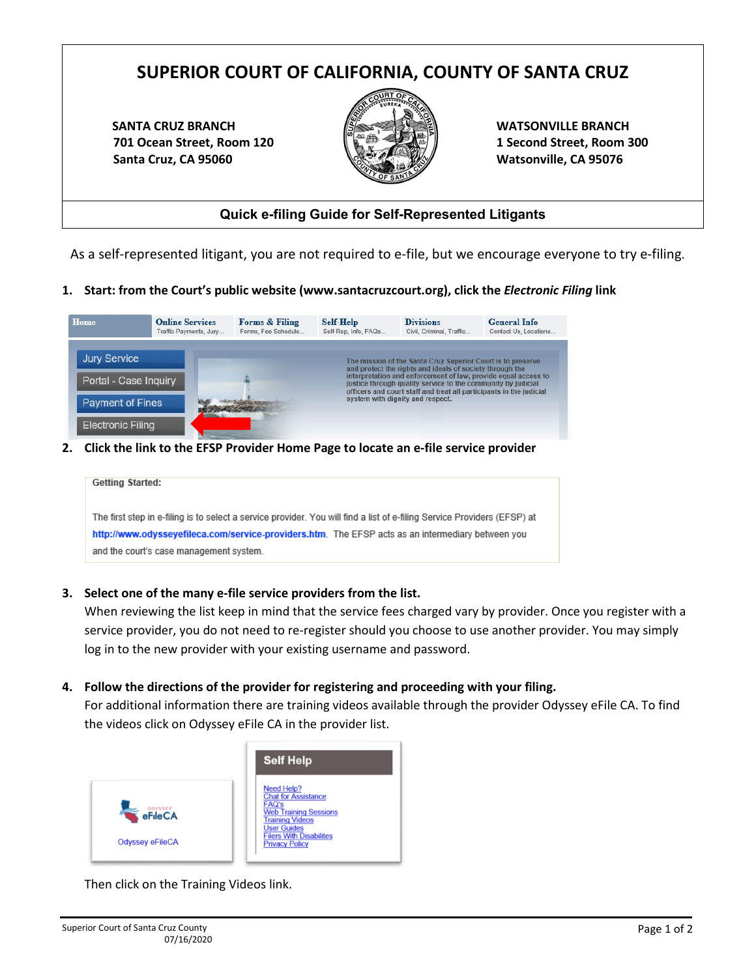# **SUPERIOR COURT OF CALIFORNIA, COUNTY OF SANTA CRUZ**

**SANTA CRUZ BRANCH 701 Ocean Street, Room 120 Santa Cruz, CA 95060**



**WATSONVILLE BRANCH 1 Second Street, Room 300 Watsonville, CA 95076**

## **Quick e-filing Guide for Self-Represented Litigants**

As a self-represented litigant, you are not required to e-file, but we encourage everyone to try e-filing.

**1. Start: from the Court's public website (www.santacruzcourt.org), click the** *Electronic Filing* **link**



**2. Click the link to the EFSP Provider Home Page to locate an e-file service provider**

| Getting Started: |                                                                                                                          |
|------------------|--------------------------------------------------------------------------------------------------------------------------|
|                  |                                                                                                                          |
|                  |                                                                                                                          |
|                  | The first step in e-filing is to select a service provider. You will find a list of e-filing Service Providers (EFSP) at |
|                  | http://www.odysseyefileca.com/service-providers.htm. The EFSP acts as an intermediary between you                        |
|                  |                                                                                                                          |
|                  | and the court's case management system.                                                                                  |
|                  |                                                                                                                          |

**3. Select one of the many e-file service providers from the list.** 

When reviewing the list keep in mind that the service fees charged vary by provider. Once you register with a service provider, you do not need to re-register should you choose to use another provider. You may simply log in to the new provider with your existing username and password.

**4. Follow the directions of the provider for registering and proceeding with your filing.** 

For additional information there are training videos available through the provider Odyssey eFile CA. To find the videos click on Odyssey eFile CA in the provider list.



Then click on the Training Videos link.